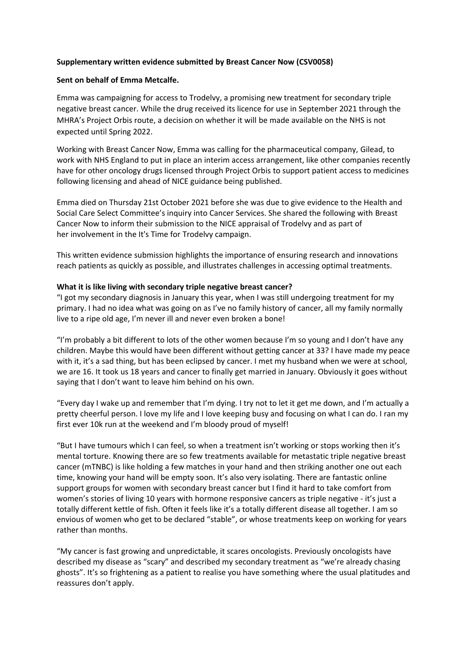### **Supplementary written evidence submitted by Breast Cancer Now (CSV0058)**

### **Sent on behalf of Emma Metcalfe.**

Emma was campaigning for access to Trodelvy, a promising new treatment for secondary triple negative breast cancer. While the drug received its licence for use in September 2021 through the MHRA's Project Orbis route, a decision on whether it will be made available on the NHS is not expected until Spring 2022.

Working with Breast Cancer Now, Emma was calling for the pharmaceutical company, Gilead, to work with NHS England to put in place an interim access arrangement, like other companies recently have for other oncology drugs licensed through Project Orbis to support patient access to medicines following licensing and ahead of NICE guidance being published.

Emma died on Thursday 21st October 2021 before she was due to give evidence to the Health and Social Care Select Committee's inquiry into Cancer Services. She shared the following with Breast Cancer Now to inform their submission to the NICE appraisal of Trodelvy and as part of her involvement in the It's Time for Trodelvy campaign.

This written evidence submission highlights the importance of ensuring research and innovations reach patients as quickly as possible, and illustrates challenges in accessing optimal treatments.

## **What it is like living with secondary triple negative breast cancer?**

"I got my secondary diagnosis in January this year, when I was still undergoing treatment for my primary. I had no idea what was going on as I've no family history of cancer, all my family normally live to a ripe old age, I'm never ill and never even broken a bone!

"I'm probably a bit different to lots of the other women because I'm so young and I don't have any children. Maybe this would have been different without getting cancer at 33? I have made my peace with it, it's a sad thing, but has been eclipsed by cancer. I met my husband when we were at school, we are 16. It took us 18 years and cancer to finally get married in January. Obviously it goes without saying that I don't want to leave him behind on his own.

"Every day I wake up and remember that I'm dying. I try not to let it get me down, and I'm actually a pretty cheerful person. I love my life and I love keeping busy and focusing on what I can do. I ran my first ever 10k run at the weekend and I'm bloody proud of myself!

"But I have tumours which I can feel, so when a treatment isn't working or stops working then it's mental torture. Knowing there are so few treatments available for metastatic triple negative breast cancer (mTNBC) is like holding a few matches in your hand and then striking another one out each time, knowing your hand will be empty soon. It's also very isolating. There are fantastic online support groups for women with secondary breast cancer but I find it hard to take comfort from women's stories of living 10 years with hormone responsive cancers as triple negative - it's just a totally different kettle of fish. Often it feels like it's a totally different disease all together. I am so envious of women who get to be declared "stable", or whose treatments keep on working for years rather than months.

"My cancer is fast growing and unpredictable, it scares oncologists. Previously oncologists have described my disease as "scary" and described my secondary treatment as "we're already chasing ghosts". It's so frightening as a patient to realise you have something where the usual platitudes and reassures don't apply.